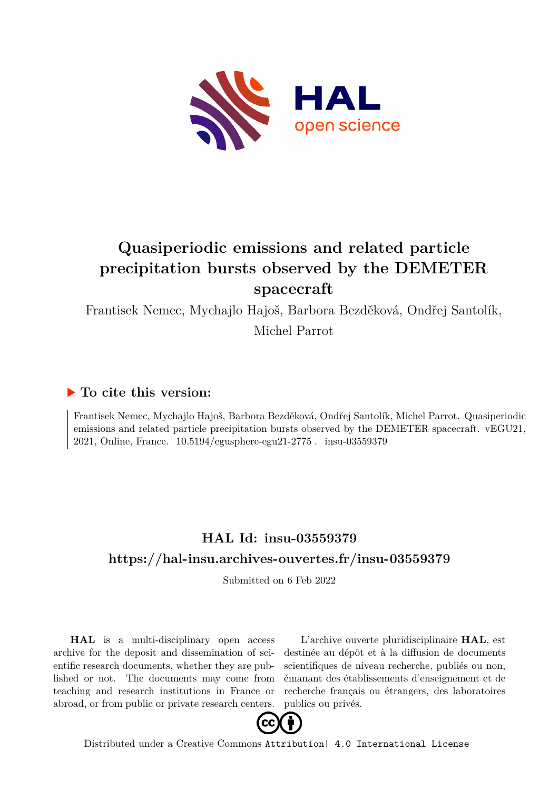

## **Quasiperiodic emissions and related particle precipitation bursts observed by the DEMETER spacecraft**

Frantisek Nemec, Mychajlo Hajoš, Barbora Bezděková, Ondřej Santolík, Michel Parrot

## **To cite this version:**

Frantisek Nemec, Mychajlo Hajoš, Barbora Bezděková, Ondřej Santolík, Michel Parrot. Quasiperiodic emissions and related particle precipitation bursts observed by the DEMETER spacecraft. vEGU21, 2021, Online, France.  $10.5194$ /egusphere-egu21-2775. insu-03559379

## **HAL Id: insu-03559379 <https://hal-insu.archives-ouvertes.fr/insu-03559379>**

Submitted on 6 Feb 2022

**HAL** is a multi-disciplinary open access archive for the deposit and dissemination of scientific research documents, whether they are published or not. The documents may come from teaching and research institutions in France or abroad, or from public or private research centers.

L'archive ouverte pluridisciplinaire **HAL**, est destinée au dépôt et à la diffusion de documents scientifiques de niveau recherche, publiés ou non, émanant des établissements d'enseignement et de recherche français ou étrangers, des laboratoires publics ou privés.



Distributed under a Creative Commons [Attribution| 4.0 International License](http://creativecommons.org/licenses/by/4.0/)